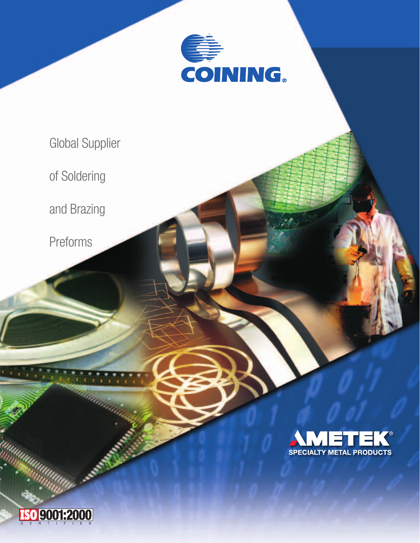

Global Supplier

of Soldering

and Brazing

Preforms



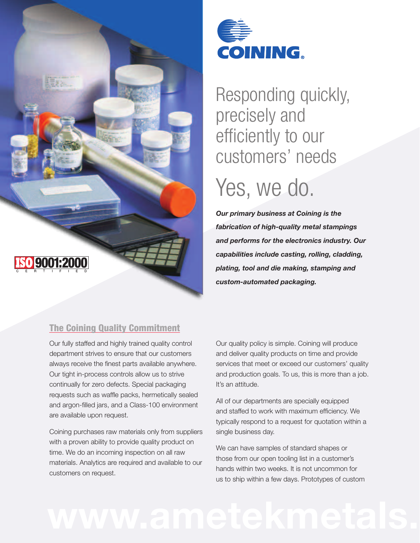



### Responding quickly, precisely and efficiently to our customers' needs

## Yes, we do.

*Our primary business at Coining is the fabrication of high-quality metal stampings and performs for the electronics industry. Our capabilities include casting, rolling, cladding, plating, tool and die making, stamping and custom-automated packaging.*

#### The Coining Quality Commitment

Our fully staffed and highly trained quality control department strives to ensure that our customers always receive the finest parts available anywhere. Our tight in-process controls allow us to strive continually for zero defects. Special packaging requests such as waffle packs, hermetically sealed and argon-filled jars, and a Class-100 environment are available upon request.

Coining purchases raw materials only from suppliers with a proven ability to provide quality product on time. We do an incoming inspection on all raw materials. Analytics are required and available to our customers on request.

Our quality policy is simple. Coining will produce and deliver quality products on time and provide services that meet or exceed our customers' quality and production goals. To us, this is more than a job. It's an attitude.

All of our departments are specially equipped and staffed to work with maximum efficiency. We typically respond to a request for quotation within a single business day.

We can have samples of standard shapes or those from our open tooling list in a customer's hands within two weeks. It is not uncommon for us to ship within a few days. Prototypes of custom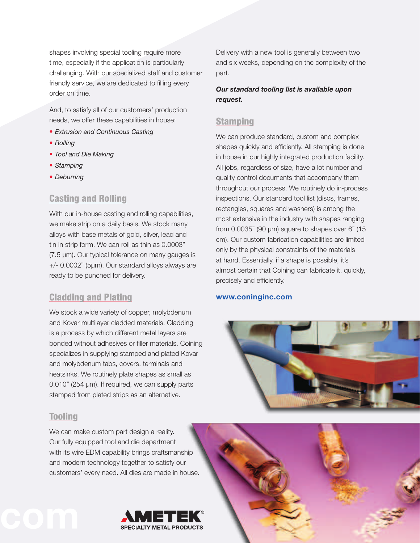shapes involving special tooling require more time, especially if the application is particularly challenging. With our specialized staff and customer friendly service, we are dedicated to filling every order on time.

And, to satisfy all of our customers' production needs, we offer these capabilities in house:

- *Extrusion and Continuous Casting*
- *Rolling*
- *Tool and Die Making*
- *Stamping*
- *Deburring*

### Casting and Rolling

With our in-house casting and rolling capabilities, we make strip on a daily basis. We stock many alloys with base metals of gold, silver, lead and tin in strip form. We can roll as thin as 0.0003" (7.5 µm). Our typical tolerance on many gauges is +/- 0.0002" (5µm). Our standard alloys always are ready to be punched for delivery.

#### Cladding and Plating

We stock a wide variety of copper, molybdenum and Kovar multilayer cladded materials. Cladding is a process by which different metal layers are bonded without adhesives or filler materials. Coining specializes in supplying stamped and plated Kovar and molybdenum tabs, covers, terminals and heatsinks. We routinely plate shapes as small as 0.010" (254 µm). If required, we can supply parts stamped from plated strips as an alternative.

#### Tooling

We can make custom part design a reality. Our fully equipped tool and die department with its wire EDM capability brings craftsmanship and modern technology together to satisfy our customers' every need. All dies are made in house.



Delivery with a new tool is generally between two and six weeks, depending on the complexity of the part.

#### *Our standard tooling list is available upon request.*

#### Stamping

We can produce standard, custom and complex shapes quickly and efficiently. All stamping is done in house in our highly integrated production facility. All jobs, regardless of size, have a lot number and quality control documents that accompany them throughout our process. We routinely do in-process inspections. Our standard tool list (discs, frames, rectangles, squares and washers) is among the most extensive in the industry with shapes ranging from  $0.0035$ " (90  $\mu$ m) square to shapes over 6" (15 cm). Our custom fabrication capabilities are limited only by the physical constraints of the materials at hand. Essentially, if a shape is possible, it's almost certain that Coining can fabricate it, quickly, precisely and efficiently.

#### **www.coninginc.com**



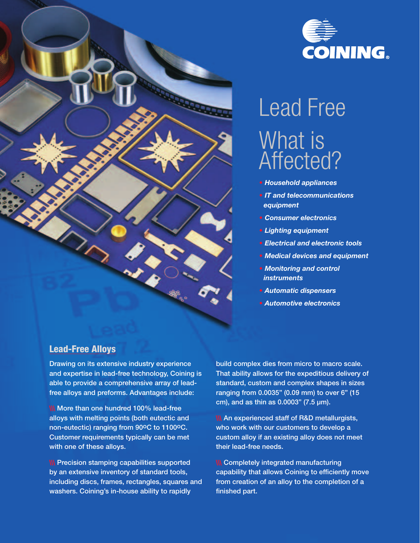



# Lead Free What is Affected?

- *Household appliances*
- *IT and telecommunications equipment*
- *Consumer electronics*
- *Lighting equipment*
- *Electrical and electronic tools*
- *Medical devices and equipment*
- *Monitoring and control instruments*
- *Automatic dispensers*
- *Automotive electronics*

#### Lead-Free Alloys

Drawing on its extensive industry experience and expertise in lead-free technology, Coining is able to provide a comprehensive array of leadfree alloys and preforms. Advantages include:

**\\\** More than one hundred 100% lead-free alloys with melting points (both eutectic and non-eutectic) ranging from 90°C to 1100°C. Customer requirements typically can be met with one of these alloys.

**\\\ Precision stamping capabilities supported** by an extensive inventory of standard tools, including discs, frames, rectangles, squares and washers. Coining's in-house ability to rapidly

build complex dies from micro to macro scale. That ability allows for the expeditious delivery of standard, custom and complex shapes in sizes ranging from 0.0035" (0.09 mm) to over 6" (15 cm), and as thin as  $0.0003$ " (7.5  $\mu$ m).

**\\\ An experienced staff of R&D metallurgists,** who work with our customers to develop a custom alloy if an existing alloy does not meet their lead-free needs.

**\\\ Completely integrated manufacturing** capability that allows Coining to efficiently move from creation of an alloy to the completion of a finished part.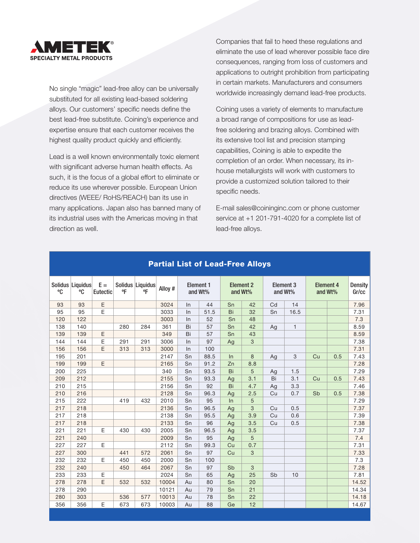

No single "magic" lead-free alloy can be universally substituted for all existing lead-based soldering alloys. Our customers' specific needs define the best lead-free substitute. Coining's experience and expertise ensure that each customer receives the highest quality product quickly and efficiently.

Lead is a well known environmentally toxic element with significant adverse human health effects. As such, it is the focus of a global effort to eliminate or reduce its use wherever possible. European Union directives (WEEE/ RoHS/REACH) ban its use in many applications. Japan also has banned many of its industrial uses with the Americas moving in that direction as well.

Companies that fail to heed these regulations and eliminate the use of lead wherever possible face dire consequences, ranging from loss of customers and applications to outright prohibition from participating in certain markets. Manufacturers and consumers worldwide increasingly demand lead-free products.

Coining uses a variety of elements to manufacture a broad range of compositions for use as leadfree soldering and brazing alloys. Combined with its extensive tool list and precision stamping capabilities, Coining is able to expedite the completion of an order. When necessary, its inhouse metallurgists will work with customers to provide a customized solution tailored to their specific needs.

E-mail sales@coininginc.com or phone customer service at +1 201-791-4020 for a complete list of lead-free alloys.

| °C  | Solidus Liquidus<br>°C | $E =$<br>Eutectic | °F  | Solidus Liquidus<br>°F | Alloy # | Element 1<br>and Wt% |      | <b>Element 2</b><br>and Wt% |     | Element 3<br>and Wt% |              | Element 4<br>and Wt% |     | <b>Density</b><br>Gr/cc |
|-----|------------------------|-------------------|-----|------------------------|---------|----------------------|------|-----------------------------|-----|----------------------|--------------|----------------------|-----|-------------------------|
| 93  | 93                     | $\mathsf E$       |     |                        | 3024    | ln                   | 44   | Sn                          | 42  | Cd                   | 14           |                      |     | 7.96                    |
| 95  | 95                     | E                 |     |                        | 3033    | ln                   | 51.5 | Bi                          | 32  | Sn                   | 16.5         |                      |     | 7.31                    |
| 120 | 122                    |                   |     |                        | 3003    | In                   | 52   | Sn                          | 48  |                      |              |                      |     | 7.3                     |
| 138 | 140                    |                   | 280 | 284                    | 361     | Bi                   | 57   | Sn                          | 42  | Ag                   | $\mathbf{1}$ |                      |     | 8.59                    |
| 139 | 139                    | E                 |     |                        | 349     | Bi                   | 57   | Sn                          | 43  |                      |              |                      |     | 8.59                    |
| 144 | 144                    | E                 | 291 | 291                    | 3006    | In                   | 97   | Ag                          | 3   |                      |              |                      |     | 7.38                    |
| 156 | 156                    | E                 | 313 | 313                    | 3000    | In                   | 100  |                             |     |                      |              |                      |     | 7.31                    |
| 195 | 201                    |                   |     |                        | 2147    | Sn                   | 88.5 | In                          | 8   | Ag                   | 3            | Cu                   | 0.5 | 7.43                    |
| 199 | 199                    | E                 |     |                        | 2165    | Sn                   | 91.2 | Zn                          | 8.8 |                      |              |                      |     | 7.28                    |
| 200 | 225                    |                   |     |                        | 340     | Sn                   | 93.5 | Bi                          | 5   | Ag                   | 1.5          |                      |     | 7.29                    |
| 209 | 212                    |                   |     |                        | 2155    | Sn                   | 93.3 | Ag                          | 3.1 | Bi                   | 3.1          | Cu                   | 0.5 | 7.43                    |
| 210 | 215                    |                   |     |                        | 2156    | Sn                   | 92   | Bi                          | 4.7 | Ag                   | 3.3          |                      |     | 7.46                    |
| 210 | 216                    |                   |     |                        | 2128    | Sn                   | 96.3 | Ag                          | 2.5 | Cu                   | 0.7          | Sb                   | 0.5 | 7.38                    |
| 215 | 222                    |                   | 419 | 432                    | 2010    | Sn                   | 95   | In                          | 5   |                      |              |                      |     | 7.29                    |
| 217 | 218                    |                   |     |                        | 2136    | Sn                   | 96.5 | Ag                          | 3   | Cu                   | 0.5          |                      |     | 7.37                    |
| 217 | 218                    |                   |     |                        | 2138    | Sn                   | 95.5 | Ag                          | 3.9 | Cu                   | 0.6          |                      |     | 7.39                    |
| 217 | 218                    |                   |     |                        | 2133    | Sn                   | 96   | Ag                          | 3.5 | Cu                   | 0.5          |                      |     | 7.38                    |
| 221 | 221                    | E                 | 430 | 430                    | 2005    | Sn                   | 96.5 | Ag                          | 3.5 |                      |              |                      |     | 7.37                    |
| 221 | 240                    |                   |     |                        | 2009    | Sn                   | 95   | Ag                          | 5   |                      |              |                      |     | 7.4                     |
| 227 | 227                    | Ε                 |     |                        | 2112    | Sn                   | 99.3 | Cu                          | 0.7 |                      |              |                      |     | 7.31                    |
| 227 | 300                    |                   | 441 | 572                    | 2061    | Sn                   | 97   | Cu                          | 3   |                      |              |                      |     | 7.33                    |
| 232 | 232                    | E                 | 450 | 450                    | 2000    | Sn                   | 100  |                             |     |                      |              |                      |     | 7.3                     |
| 232 | 240                    |                   | 450 | 464                    | 2067    | Sn                   | 97   | Sb                          | 3   |                      |              |                      |     | 7.28                    |
| 233 | 233                    | Ε                 |     |                        | 2024    | Sn                   | 65   | Ag                          | 25  | Sb                   | 10           |                      |     | 7.81                    |
| 278 | 278                    | E                 | 532 | 532                    | 10004   | Au                   | 80   | Sn                          | 20  |                      |              |                      |     | 14.52                   |
| 278 | 290                    |                   |     |                        | 10121   | Au                   | 79   | Sn                          | 21  |                      |              |                      |     | 14.34                   |
| 280 | 303                    |                   | 536 | 577                    | 10013   | Au                   | 78   | Sn                          | 22  |                      |              |                      |     | 14.18                   |
| 356 | 356                    | E                 | 673 | 673                    | 10003   | Au                   | 88   | Ge                          | 12  |                      |              |                      |     | 14.67                   |

#### Partial List of Lead-Free Alloys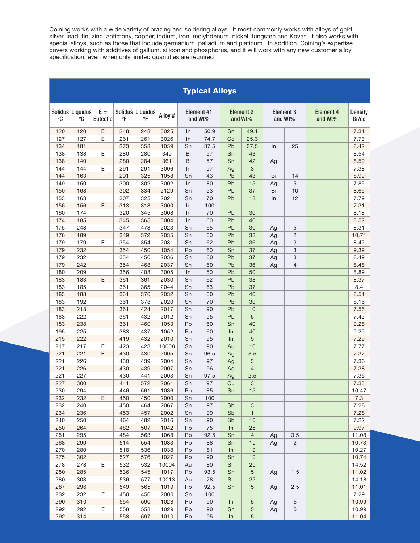Coining works with a wide variety of brazing and soldering alloys. It most commonly works with alloys of gold, silver, lead, tin, zinc, antimony, copper, indium, iron, molybdenum, nickel, tungsten and Kovar. It also works special alloys, such as those that include germanium, palladium and platinum. In addition, Coining's expertise<br>covers working with additives of gallium, silicon and phosphorus, and it will work with any new customer alloy specification, even when only limited quantities are required

| <b>Typical Alloys</b> |                        |                          |            |                        |               |                       |          |                             |                 |                             |                |                             |                         |
|-----------------------|------------------------|--------------------------|------------|------------------------|---------------|-----------------------|----------|-----------------------------|-----------------|-----------------------------|----------------|-----------------------------|-------------------------|
| °C                    | Solidus Liquidus<br>°C | $E =$<br><b>Eutectic</b> | °F         | Solidus Liquidus<br>°F | Alloy #       | Element #1<br>and Wt% |          | <b>Element 2</b><br>and Wt% |                 | <b>Element 3</b><br>and Wt% |                | <b>Element 4</b><br>and Wt% | <b>Density</b><br>Gr/cc |
| 120                   | 120                    | E                        | 248        | 248                    | 3025          | $\ln$                 | 50.9     | Sn                          | 49.1            |                             |                |                             | 7.31                    |
| 127                   | 127                    | E                        | 261        | 261                    | 3026          | In                    | 74.7     | Cd                          | 25.3            |                             |                |                             | 7.73                    |
| 134                   | 181                    |                          | 273        | 358                    | 1059          | Sn                    | 37.5     | Pb                          | 37.5            | In                          | 25             |                             | 8.42                    |
| 138                   | 138                    | E                        | 280        | 280                    | 349           | Bi                    | 57       | Sn                          | 43              |                             |                |                             | 8.54                    |
| 138                   | 140                    |                          | 280        | 284                    | 361           | Bi                    | 57       | Sn                          | 42              | Ag                          | $\mathbf{1}$   |                             | 8.59                    |
| 144                   | 144                    | E                        | 291        | 291                    | 3006          | In                    | 97       | Ag                          | 3               |                             |                |                             | 7.38                    |
| 144                   | 163                    |                          | 291        | 325                    | 1058          | Sn                    | 43       | Pb                          | 43              | Bi                          | 14             |                             | 8.99                    |
| 149                   | 150                    |                          | 300        | 302                    | 3002          | In                    | 80       | Pb                          | 15              | Ag                          | 5              |                             | 7.85                    |
| 150                   | 168                    |                          | 302        | 334                    | 2129          | Sn                    | 53       | Pb                          | 37              | Bi                          | 10             |                             | 8.65                    |
| 153                   | 163                    |                          | 307        | 325                    | 2021          | Sn                    | 70       | Pb                          | 18              | In                          | 12             |                             | 7.79                    |
| 156                   | 156                    | E                        | 313        | 313                    | 3000          | In                    | 100      |                             |                 |                             |                |                             | 7.31                    |
| 160                   | 174                    |                          | 320        | 345                    | 3008          | In                    | 70       | Pb                          | 30              |                             |                |                             | 8.18                    |
| 174                   | 185                    |                          | 345        | 365                    | 3004          | In                    | 60       | Pb                          | 40              |                             |                |                             | 8.52                    |
| 175                   | 248                    |                          | 347        | 478                    | 2023          | Sn                    | 65       | Pb                          | 30              | Ag                          | 5              |                             | 8.31                    |
| 176                   | 189                    |                          | 349        | 372                    | 2035          | Sn                    | 60       | Pb                          | 38              | Ag                          | $\overline{2}$ |                             | 10.71                   |
| 179                   | 179                    | E                        | 354        | 354                    | 2031          | Sn                    | 62       | Pb                          | 36              | Ag                          | $\overline{2}$ |                             | 8.42                    |
| 179                   | 232                    |                          | 354        | 450                    | 1054          | Pb                    | 60       | Sn                          | 37              | Ag                          | 3              |                             | 9.39                    |
| 179                   | 232                    |                          | 354        | 450                    | 2036          | Sn                    | 60       | Pb                          | 37              | Ag                          | 3              |                             | 8.49                    |
| 179                   | 242                    |                          | 354        | 468                    | 2037          | Sn                    | 60       | Pb                          | 36              | Ag                          | $\overline{4}$ |                             | 8.48                    |
| 180                   | 209                    |                          | 356        | 408                    | 3005          | In                    | 50       | Pb                          | 50              |                             |                |                             | 8.89                    |
| 183                   | 183                    | E                        | 361        | 361                    | 2030          | Sn                    | 62       | Pb                          | 38              |                             |                |                             | 8.37                    |
| 183                   | 185                    |                          | 361        | 365                    | 2044          | Sn                    | 63       | Pb                          | 37              |                             |                |                             | 8.4                     |
| 183                   | 188                    |                          | 361        | 370                    | 2032          | Sn                    | 60       | Pb                          | 40              |                             |                |                             | 8.51                    |
| 183                   | 192                    |                          | 361        | 378                    | 2020          | Sn                    | 70       | Pb                          | 30              |                             |                |                             | 8.16                    |
| 183                   | 218                    |                          | 361        | 424                    | 2017          | Sn                    | 90       | Pb                          | 10              |                             |                |                             | 7.56                    |
| 183                   | 222                    |                          | 361        | 432                    | 2012          | Sn                    | 95       | Pb                          | 5               |                             |                |                             | 7.42                    |
| 183                   | 238                    |                          | 361        | 460                    | 1053          | Pb                    | 60       | Sn                          | 40              |                             |                |                             | 9.28                    |
| 195                   | 225                    |                          | 383        | 437                    | 1052          | Pb                    | 60       | In                          | 40              |                             |                |                             | 9.29                    |
| 215<br>217            | 222                    | Ε                        | 419<br>423 | 432                    | 2010          | Sn<br>Sn              | 95<br>90 | In<br>Au                    | 5<br>10         |                             |                |                             | 7.29                    |
| 221                   | 217<br>221             | E                        | 430        | 423<br>430             | 10008<br>2005 | Sn                    | 96.5     |                             | 3.5             |                             |                |                             | 7.77<br>7.37            |
| 221                   | 226                    |                          | 430        | 439                    | 2004          | Sn                    | 97       | Ag<br>Ag                    | 3               |                             |                |                             | 7.36                    |
| 221                   | 226                    |                          | 430        | 439                    | 2007          | Sn                    | 96       | Ag                          | $\overline{4}$  |                             |                |                             | 7.38                    |
| 221                   | 227                    |                          | 430        | 441                    | 2003          | Sn                    | 97.5     | Ag                          | 2.5             |                             |                |                             | 7.35                    |
| 227                   | 300                    |                          | 441        | 572                    | 2061          | Sn                    | 97       | Cu                          | 3               |                             |                |                             | 7.33                    |
| 230                   | 294                    |                          | 446        | 561                    | 1036          | ${\sf Pb}$            | 85       | Sn                          | 15              |                             |                |                             | 10.47                   |
| 232                   | 232                    | E.                       | 450        | 450                    | 2000          | Sn                    | 100      |                             |                 |                             |                |                             | 7.3                     |
| 232                   | 240                    |                          | 450        | 464                    | 2067          | Sn                    | 97       | Sb                          | 3               |                             |                |                             | 7.28                    |
| 234                   | 236                    |                          | 453        | 457                    | 2002          | Sn                    | 99       | Sb                          | $\mathbf{1}$    |                             |                |                             | 7.28                    |
| 240                   | 250                    |                          | 464        | 482                    | 2016          | Sn                    | 90       | Sb                          | 10              |                             |                |                             | 7.22                    |
| 250                   | 264                    |                          | 482        | 507                    | 1042          | Pb                    | 75       | In                          | 25              |                             |                |                             | 9.97                    |
| 251                   | 295                    |                          | 484        | 563                    | 1068          | Pb                    | 92.5     | Sn                          | $\overline{4}$  | Ag                          | 3.5            |                             | 11.08                   |
| 268                   | 290                    |                          | 514        | 554                    | 1033          | Pb                    | 88       | Sn                          | 10              | Ag                          | $\overline{2}$ |                             | 10.73                   |
| 270                   | 280                    |                          | 518        | 536                    | 1038          | Pb                    | 81       | In                          | 19              |                             |                |                             | 10.27                   |
| 275                   | 302                    |                          | 527        | 576                    | 1027          | Pb                    | 90       | Sn                          | 10              |                             |                |                             | 10.74                   |
| 278                   | 278                    | Ε                        | 532        | 532                    | 10004         | Au                    | 80       | Sn                          | 20              |                             |                |                             | 14.52                   |
| 280                   | 285                    |                          | 536        | 545                    | 1017          | Pb                    | 93.5     | Sn                          | $5\phantom{.0}$ | Ag                          | 1.5            |                             | 11.02                   |
| 280                   | 303                    |                          | 536        | 577                    | 10013         | Au                    | 78       | Sn                          | 22              |                             |                |                             | 14.18                   |
| 287                   | 296                    |                          | 549        | 565                    | 1019          | Pb                    | 92.5     | Sn                          | $\sqrt{5}$      | Ag                          | 2.5            |                             | 11.01                   |
| 232                   | 232                    | E                        | 450        | 450                    | 2000          | Sn                    | 100      |                             |                 |                             |                |                             | 7.29                    |
| 290                   | 310                    |                          | 554        | 590                    | 1028          | Pb                    | 90       | In                          | 5               | Ag                          | $\mathbf 5$    |                             | 10.99                   |
| 292                   | 292                    | $\mathsf E$              | 558        | 558                    | 1029          | Pb                    | 90       | Sn                          | 5               | Ag                          | 5              |                             | 10.99                   |
| 292                   | 314                    |                          | 558        | 597                    | 1010          | Pb                    | 95       | In                          | $\sqrt{5}$      |                             |                |                             | 11.04                   |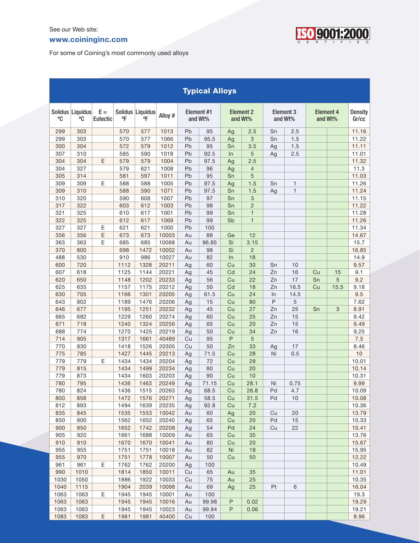#### www.coininginc.com



For some of Coining's most commonly used alloys

| <b>Typical Alloys</b> |                        |                          |              |                                  |                |                       |          |                             |                |                             |              |                             |      |                         |
|-----------------------|------------------------|--------------------------|--------------|----------------------------------|----------------|-----------------------|----------|-----------------------------|----------------|-----------------------------|--------------|-----------------------------|------|-------------------------|
| °C                    | Solidus Liquidus<br>°C | $E =$<br><b>Eutectic</b> | $^{\circ}$ F | Solidus Liquidus<br>$^{\circ}$ F | Alloy #        | Element #1<br>and Wt% |          | <b>Element 2</b><br>and Wt% |                | <b>Element 3</b><br>and Wt% |              | <b>Element 4</b><br>and Wt% |      | <b>Density</b><br>Gr/cc |
| 299                   | 303                    |                          | 570          | 577                              | 1013           | Pb                    | 95       | Ag                          | 2.5            | Sn                          | 2.5          |                             |      | 11.16                   |
| 299                   | 303                    |                          | 570          | 577                              | 1066           | Pb                    | 95.5     | Ag                          | 3              | Sn                          | 1.5          |                             |      | 11.22                   |
| 300                   | 304                    |                          | 572          | 579                              | 1012           | Pb                    | 95       | Sn                          | 3.5            | Ag                          | 1.5          |                             |      | 11.11                   |
| 307                   | 310                    |                          | 585          | 590                              | 1018           | Pb                    | 92.5     | In                          | 5              | Ag                          | 2.5          |                             |      | 11.01                   |
| 304                   | 304                    | E                        | 579          | 579                              | 1004           | Pb                    | 97.5     | Ag                          | 2.5            |                             |              |                             |      | 11.32                   |
| 304                   | 327                    |                          | 579          | 621                              | 1008           | Pb                    | 96       | Ag                          | $\overline{4}$ |                             |              |                             |      | 11.3                    |
| 305                   | 314                    |                          | 581          | 597                              | 1011           | Pb                    | 95       | Sn                          | 5              |                             |              |                             |      | 11.03                   |
| 309                   | 309                    | E                        | 588          | 588                              | 1005           | Pb                    | 97.5     | Ag                          | 1.5            | Sn                          | $\mathbf{1}$ |                             |      | 11.26                   |
| 309                   | 310                    |                          | 588          | 590                              | 1071           | Pb                    | 97.5     | Sn                          | 1.5            | Ag                          | $\mathbf{1}$ |                             |      | 11.24                   |
| 310                   | 320                    |                          | 590          | 608                              | 1007           | Pb                    | 97       | Sn                          | 3              |                             |              |                             |      | 11.15                   |
| 317                   | 322                    |                          | 603          | 612                              | 1003           | Pb                    | 98       | Sn                          | $\overline{2}$ |                             |              |                             |      | 11.22                   |
| 321                   | 325                    |                          | 610          | 617                              | 1001           | Pb                    | 99       | Sn                          | $\mathbf{1}$   |                             |              |                             |      | 11.28                   |
| 322                   | 325                    |                          | 612          | 617                              | 1069           | Pb                    | 99       | Sb                          | $\mathbf{1}$   |                             |              |                             |      | 11.26                   |
| 327                   | 327                    | Ε                        | 621          | 621                              | 1000           | Pb                    | 100      |                             |                |                             |              |                             |      | 11.34                   |
| 356                   | 356                    | $\mathsf E$              | 673          | 673                              | 10003          | Au                    | 88       | Ge                          | 12             |                             |              |                             |      | 14.67                   |
| 363                   | 363                    | $\mathsf E$              | 685          | 685                              | 10088          | Au                    | 96.85    | Si                          | 3.15           |                             |              |                             |      | 15.7                    |
| 370                   | 800                    |                          | 698          | 1472                             | 10002          | Au                    | 98       | Si                          | $\overline{2}$ |                             |              |                             |      | 16.85                   |
| 488                   | 530                    |                          | 910          | 986                              | 10027          | Au                    | 82       | In                          | 18             |                             |              |                             |      | 14.9                    |
| 600                   | 720                    |                          | 1112         | 1328                             | 20211          | Ag                    | 60       | Cu                          | 30             | Sn                          | 10           |                             |      | 9.57                    |
| 607                   | 618                    |                          | 1125         | 1144                             | 20221          | Ag                    | 45       | Cd                          | 24             | Zn                          | 16           | Cu                          | 15   | 9.1                     |
| 620                   | 650                    |                          | 1148         | 1202                             | 20233          | Ag                    | 56       | Cu                          | 22             | Zn                          | 17           | Sn                          | 5    | 9.2                     |
| 625                   | 635                    |                          | 1157         | 1175                             | 20212          | Ag                    | 50       | Cd                          | 18             | Zn                          | 16.5         | Cu                          | 15.5 | 9.18                    |
| 630                   | 705                    |                          | 1166         | 1301                             | 20205          | Ag                    | 61.5     | Cu                          | 24             | In                          | 14.5         |                             |      | 9.5                     |
| 643                   | 802                    |                          | 1189         | 1476                             | 20206          | Ag                    | 15       | Cu                          | 80             | P                           | 5            |                             |      | 7.62                    |
| 646                   | 677                    |                          | 1195         | 1251                             | 20232          | Ag                    | 45       | Cu                          | 27             | Zn                          | 25           | Sn                          | 3    | 8.91                    |
| 665                   | 682                    |                          | 1229         | 1260                             | 20274          | Ag                    | 60       | Cu                          | 25             | Zn                          | 15           |                             |      | 9.42                    |
| 671<br>688            | 718<br>774             |                          | 1240<br>1270 | 1324                             | 20256<br>20219 | Ag                    | 65<br>50 | Cu                          | 20<br>34       | Zn                          | 15<br>16     |                             |      | 9.49<br>9.25            |
|                       | 905                    |                          | 1317         | 1425<br>1661                     | 40489          | Ag                    | 95       | Cu<br>P                     | 5              | Zn                          |              |                             |      |                         |
| 714<br>770            | 830                    |                          | 1418         | 1526                             | 20305          | Cu<br>Cu              | 50       | Zn                          | 33             |                             | 17           |                             |      | 7.5<br>8.46             |
| 775                   | 785                    |                          | 1427         | 1445                             | 20213          | Ag                    | 71.5     | Cu                          | 28             | Ag<br>Ni                    | 0.5          |                             |      | 10                      |
| 779                   | 779                    | E                        | 1434         | 1434                             | 20204          | Ag                    | 72       | Cu                          | 28             |                             |              |                             |      | 10.01                   |
| 779                   | 815                    |                          | 1434         | 1499                             | 20234          | Ag                    | 80       | Cu                          | 20             |                             |              |                             |      | 10.14                   |
| 779                   | 873                    |                          | 1434         | 1603                             | 20203          | Ag                    | 90       | Cu                          | 10             |                             |              |                             |      | 10.31                   |
| 780                   | 795                    |                          | 1436         | 1463                             | 20249          | Ag                    | 71.15    | Cu                          | 28.1           | Ni                          | 0.75         |                             |      | 9.99                    |
| 780                   | 824                    |                          | 1436         | 1515                             | 20263          | Ag                    | 68.5     | Cu                          | 26.8           | Pd                          | 4.7          |                             |      | 10.09                   |
| 800                   | 858                    |                          | 1472         | 1576                             | 20271          | Ag                    | 58.5     | Cu                          | 31.5           | Pd                          | 10           |                             |      | 10.08                   |
| 812                   | 893                    |                          | 1494         | 1639                             | 20235          | Ag                    | 92.8     | Cu                          | 7.2            |                             |              |                             |      | 10.36                   |
| 835                   | 845                    |                          | 1535         | 1553                             | 10042          | Au                    | 60       | Ag                          | 20             | Cu                          | 20           |                             |      | 13.79                   |
| 850                   | 900                    |                          | 1562         | 1652                             | 20240          | Ag                    | 65       | Cu                          | 20             | Pd                          | 15           |                             |      | 10.33                   |
| 900                   | 950                    |                          | 1652         | 1742                             | 20208          | Ag                    | 54       | Pd                          | 24             | Cu                          | 22           |                             |      | 10.41                   |
| 905                   | 920                    |                          | 1661         | 1688                             | 10009          | Au                    | 65       | Cu                          | 35             |                             |              |                             |      | 13.76                   |
| 910                   | 910                    |                          | 1670         | 1670                             | 10041          | Au                    | 80       | Cu                          | 20             |                             |              |                             |      | 15.67                   |
| 955                   | 955                    |                          | 1751         | 1751                             | 10018          | Au                    | 82       | Ni                          | 18             |                             |              |                             |      | 15.95                   |
| 955                   | 970                    |                          | 1751         | 1778                             | 10007          | Au                    | 50       | Cu                          | 50             |                             |              |                             |      | 12.22                   |
| 961                   | 961                    | Ε                        | 1762         | 1762                             | 20200          | Ag                    | 100      |                             |                |                             |              |                             |      | 10.49                   |
| 990                   | 1010                   |                          | 1814         | 1850                             | 10011          | Cu                    | 65       | Au                          | 35             |                             |              |                             |      | 11.01                   |
| 1030                  | 1050                   |                          | 1886         | 1922                             | 10033          | Cu                    | 75       | Au                          | 25             |                             |              |                             |      | 10.35                   |
| 1040                  | 1115                   |                          | 1904         | 2039                             | 10098          | Au                    | 69       | Ag                          | 25             | Pt                          | 6            |                             |      | 16.04                   |
| 1063                  | 1063                   | Ε                        | 1945         | 1945                             | 10001          | Au                    | 100      |                             |                |                             |              |                             |      | 19.3                    |
| 1063                  | 1063                   |                          | 1945         | 1945                             | 10016          | Au                    | 99.98    | P                           | 0.02           |                             |              |                             |      | 19.29                   |
| 1063                  | 1063                   |                          | 1945         | 1945                             | 10023          | Au                    | 99.94    | P                           | 0.06           |                             |              |                             |      | 19.21                   |
| 1083                  | 1083                   | Ε                        | 1981         | 1981                             | 40400          | Cu                    | 100      |                             |                |                             |              |                             |      | 8.96                    |